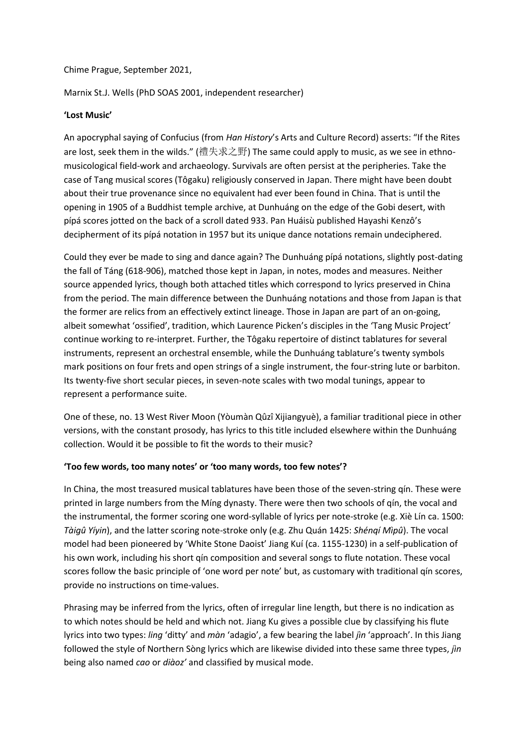Chime Prague, September 2021,

Marnix St.J. Wells (PhD SOAS 2001, independent researcher)

## **'Lost Music'**

An apocryphal saying of Confucius (from *Han History*'s Arts and Culture Record) asserts: "If the Rites are lost, seek them in the wilds." (禮失求之野) The same could apply to music, as we see in ethnomusicological field-work and archaeology. Survivals are often persist at the peripheries. Take the case of Tang musical scores (Tôgaku) religiously conserved in Japan. There might have been doubt about their true provenance since no equivalent had ever been found in China. That is until the opening in 1905 of a Buddhist temple archive, at Dunhuáng on the edge of the Gobi desert, with pípá scores jotted on the back of a scroll dated 933. Pan Huáisù published Hayashi Kenzô's decipherment of its pípá notation in 1957 but its unique dance notations remain undeciphered.

Could they ever be made to sing and dance again? The Dunhuáng pípá notations, slightly post-dating the fall of Táng (618-906), matched those kept in Japan, in notes, modes and measures. Neither source appended lyrics, though both attached titles which correspond to lyrics preserved in China from the period. The main difference between the Dunhuáng notations and those from Japan is that the former are relics from an effectively extinct lineage. Those in Japan are part of an on-going, albeit somewhat 'ossified', tradition, which Laurence Picken's disciples in the 'Tang Music Project' continue working to re-interpret. Further, the Tôgaku repertoire of distinct tablatures for several instruments, represent an orchestral ensemble, while the Dunhuáng tablature's twenty symbols mark positions on four frets and open strings of a single instrument, the four-string lute or barbiton. Its twenty-five short secular pieces, in seven-note scales with two modal tunings, appear to represent a performance suite.

One of these, no. 13 West River Moon (Yòumàn Qûzî Xijiangyuè), a familiar traditional piece in other versions, with the constant prosody, has lyrics to this title included elsewhere within the Dunhuáng collection. Would it be possible to fit the words to their music?

## **'Too few words, too many notes' or 'too many words, too few notes'?**

In China, the most treasured musical tablatures have been those of the seven-string qín. These were printed in large numbers from the Míng dynasty. There were then two schools of qín, the vocal and the instrumental, the former scoring one word-syllable of lyrics per note-stroke (e.g. Xiè Lín ca. 1500: *Tàigû Yíyin*), and the latter scoring note-stroke only (e.g. Zhu Quán 1425: *Shénqí Mìpû*). The vocal model had been pioneered by 'White Stone Daoist' Jiang Kuí (ca. 1155-1230) in a self-publication of his own work, including his short qín composition and several songs to flute notation. These vocal scores follow the basic principle of 'one word per note' but, as customary with traditional qín scores, provide no instructions on time-values.

Phrasing may be inferred from the lyrics, often of irregular line length, but there is no indication as to which notes should be held and which not. Jiang Ku gives a possible clue by classifying his flute lyrics into two types: *ling* 'ditty' and *màn* 'adagio', a few bearing the label *jìn* 'approach'. In this Jiang followed the style of Northern Sòng lyrics which are likewise divided into these same three types, *jìn*  being also named *cao* or *diàoz'* and classified by musical mode.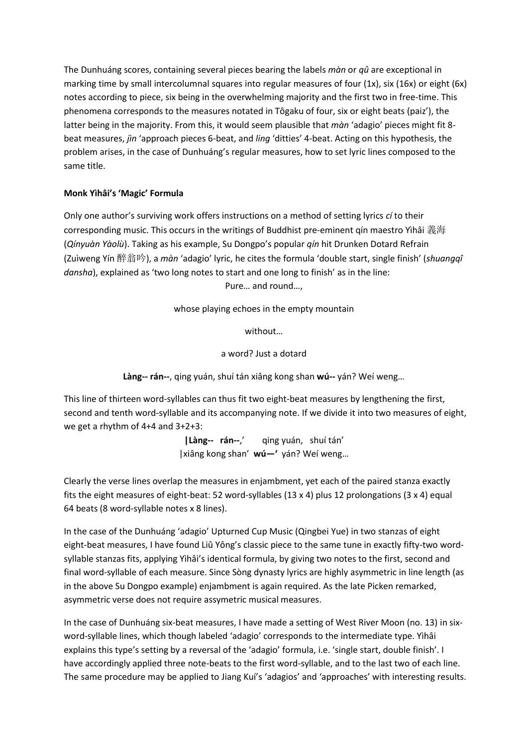The Dunhuáng scores, containing several pieces bearing the labels *màn* or *qû* are exceptional in marking time by small intercolumnal squares into regular measures of four (1x), six (16x) or eight (6x) notes according to piece, six being in the overwhelming majority and the first two in free-time. This phenomena corresponds to the measures notated in Tôgaku of four, six or eight beats (paiz'), the latter being in the majority. From this, it would seem plausible that *màn* 'adagio' pieces might fit 8 beat measures, *jìn* 'approach pieces 6-beat, and *ling* 'ditties' 4-beat. Acting on this hypothesis, the problem arises, in the case of Dunhuáng's regular measures, how to set lyric lines composed to the same title.

## **Monk Yìhâi's 'Magic' Formula**

Only one author's surviving work offers instructions on a method of setting lyrics *cí* to their corresponding music. This occurs in the writings of Buddhist pre-eminent qín maestro Yìhâi 義海 (*Qínyuàn Yàolù*). Taking as his example, Su Dongpo's popular *qín* hit Drunken Dotard Refrain (Zuìweng Yín 醉翁吟), a *màn* 'adagio' lyric, he cites the formula 'double start, single finish' (*shuangqî dansha*), explained as 'two long notes to start and one long to finish' as in the line:

Pure… and round…,

whose playing echoes in the empty mountain

without…

a word? Just a dotard

**Làng-- rán--**, qing yuán, shuí tán xiâng kong shan **wú--** yán? Weí weng…

This line of thirteen word-syllables can thus fit two eight-beat measures by lengthening the first, second and tenth word-syllable and its accompanying note. If we divide it into two measures of eight, we get a rhythm of 4+4 and 3+2+3:

> **|Làng-- rán--**,' qing yuán, shuí tán' |xiâng kong shan' **wú—'** yán? Weí weng…

Clearly the verse lines overlap the measures in enjambment, yet each of the paired stanza exactly fits the eight measures of eight-beat: 52 word-syllables (13 x 4) plus 12 prolongations (3 x 4) equal 64 beats (8 word-syllable notes x 8 lines).

In the case of the Dunhuáng 'adagio' Upturned Cup Music (Qingbei Yue) in two stanzas of eight eight-beat measures, I have found Liû Yông's classic piece to the same tune in exactly fifty-two wordsyllable stanzas fits, applying Yìhâi's identical formula, by giving two notes to the first, second and final word-syllable of each measure. Since Sòng dynasty lyrics are highly asymmetric in line length (as in the above Su Dongpo example) enjambment is again required. As the late Picken remarked, asymmetric verse does not require assymetric musical measures.

In the case of Dunhuáng six-beat measures, I have made a setting of West River Moon (no. 13) in sixword-syllable lines, which though labeled 'adagio' corresponds to the intermediate type. Yìhâi explains this type's setting by a reversal of the 'adagio' formula, i.e. 'single start, double finish'. I have accordingly applied three note-beats to the first word-syllable, and to the last two of each line. The same procedure may be applied to Jiang Kuí's 'adagios' and 'approaches' with interesting results.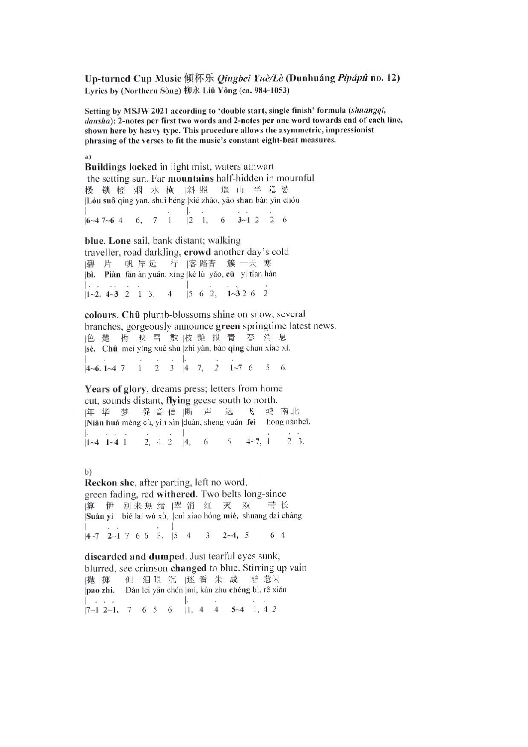Up-turned Cup Music 倾杯乐 *Qingbei Yuè/Lè* (Dunhuáng *Pípápû* no. 12) Lyrics by (Northern Sòng) 柳永 Liû Yông (ca. 984-1053)

Setting by MSJW 2021 according to 'double start, single finish' formula (shuangqî, dansha): 2-notes per first two words and 2-notes per one word towards end of each line, shown here by heavy type. This procedure allows the asymmetric, impressionist phrasing of the verses to fit the music's constant eight-beat measures.

 $\overline{a}$ 

Buildings locked in light mist, waters athwart the setting sun. Far **mountains** half-hidden in mournful 楼锁輕烟水横阁照遥山半隐愁 Lóu suô qing yan, shuî héng |xié zhào, yâo shan bàn yîn chóu  $\mathbb{L}$  $16-47-64$  6, 7 1 2 1, 6 3 -1 2 2 6

blue. Lone sail, bank distant; walking traveller, road darkling, crowd another day's cold |碧片 帆岸远 行 |客路杳 簇 一天 寒 bì. Piàn făn àn yuân, xíng |kè lù yâo, cù yi tian hán  $\Gamma_{\rm tot}$  $1-2.4-3$  2 1 3, 4 5 6 2,  $1-32$  6 2

colours. Chû plumb-blossoms shine on snow, several branches, gorgeously announce green springtime latest news. 色 楚 梅 映 雪 數 枝 艷 报 青 春 消 息 se. Chû mei yìng xuê shù zhi yàn, bào qing chun xiao xí.  $4-6.1-4.7$  1 2 3 4 7, 2 1-7 6 5 6.

Years of glory, dreams press; letters from home cut, sounds distant, flying geese south to north. 年华梦促音信断 声 远 飞 鸿 南北 Nián huá mèng cù, yin xìn duàn, sheng yuân fei hóng nánbeî.  $1-4$  1 -4 1 2, 4 2 4, 6 5 4 -7, 1  $2 \quad 3.$ 

 $b)$ 

Reckon she, after parting, left no word, green fading, red withered. Two belts long-since 算 伊 别来無绪 | 翠 消 红 灭 双 带长 Suàn yi bié laí wú xù, cuì xiao hóng miè, shuang daì cháng  $|4\sim7$  2  $\sim1$  7 6 6 3, 5 4 3 2  $\sim4$ , 5 6 4

discarded and dumped. Just tearful eyes sunk, blurred, see crimson changed to blue. Stirring up vain |抛 掷 但泪眼沉迷看朱成碧惹闲 pao zhi. Dàn lei yân chén |mí, kàn zhu chéng bì, rê xián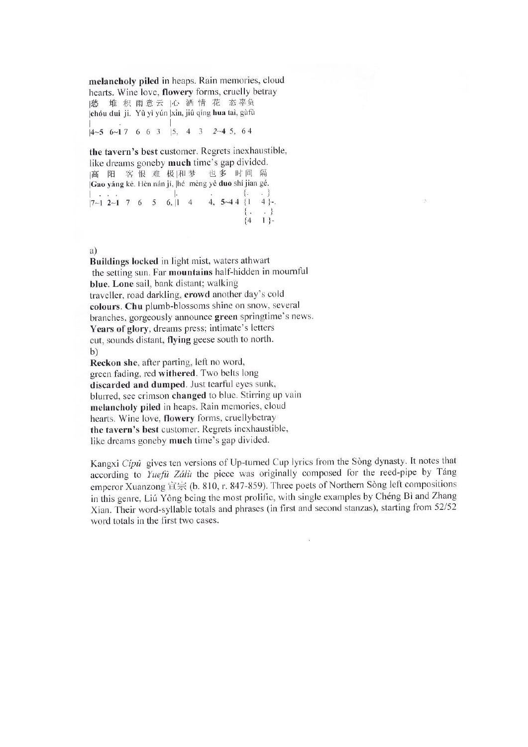melancholy piled in heaps. Rain memories, cloud hearts. Wine love, flowery forms, cruelly betray |愁 堆 积 雨 意 云 |心 酒 情 花 态 辜负 chóu dui ji. Yû yì yún xin, jiû qíng hua taì, gùfù  $|4-5 \t 6-1 \t 7 \t 6 \t 6 \t 3 \t |5, 4 \t 3 \t 2-4 \t 5, 64$ 

the tavern's best customer. Regrets inexhaustible, like dreams goneby much time's gap divided. 高 阳 客恨 难 极|和梦 也多 时间 隔 Gao yáng kè. Hèn nán jí, |hé mèng yê duo shí jian gé.  $\begin{bmatrix} . & . & . \\ 7 & -1 & 2 & -1 \\ 7 & 4 & 7 & 6 \\ 6 & 7 & 8 \\ 7 & 8 & 10 \\ 10 & 10 & 10 \\ 11 & 11 & 10 \\ 12 & 12 & 10 \\ 13 & 14 & 10 \\ 14 & 10 & 10 \\ 15 & 11 & 10 \\ 16 & 11 & 10 \\ 17 & 10 & 10 \\ 18 & 10 & 10 \\ 19 & 10 & 10 \\ 10 & 10 & 10 \\ 11 & 11 & 10 \\ 13 & 11 & 10 & 10 \\ 14 &$  $\{4\quad1\}$ -

a)

Buildings locked in light mist, waters athwart the setting sun. Far mountains half-hidden in mournful blue. Lone sail, bank distant; walking traveller, road darkling, crowd another day's cold colours. Chu plumb-blossoms shine on snow, several branches, gorgeously announce green springtime's news. Years of glory, dreams press; intimate's letters cut, sounds distant, flying geese south to north. b)

Reckon she, after parting, left no word, green fading, red withered. Two belts long discarded and dumped. Just tearful eyes sunk, blurred, see crimson changed to blue. Stirring up vain melancholy piled in heaps. Rain memories, cloud hearts. Wine love, flowery forms, cruellybetray the tavern's best customer. Regrets inexhaustible, like dreams goneby much time's gap divided.

Kangxi Cípû gives ten versions of Up-turned Cup lyrics from the Sòng dynasty. It notes that according to Yuefu Zálù the piece was originally composed for the reed-pipe by Táng emperor Xuanzong 宣宗 (b. 810, r. 847-859). Three poets of Northern Sòng left compositions in this genre, Liú Yông being the most prolific, with single examples by Chéng Bì and Zhang Xian. Their word-syllable totals and phrases (in first and second stanzas), starting from 52/52 word totals in the first two cases.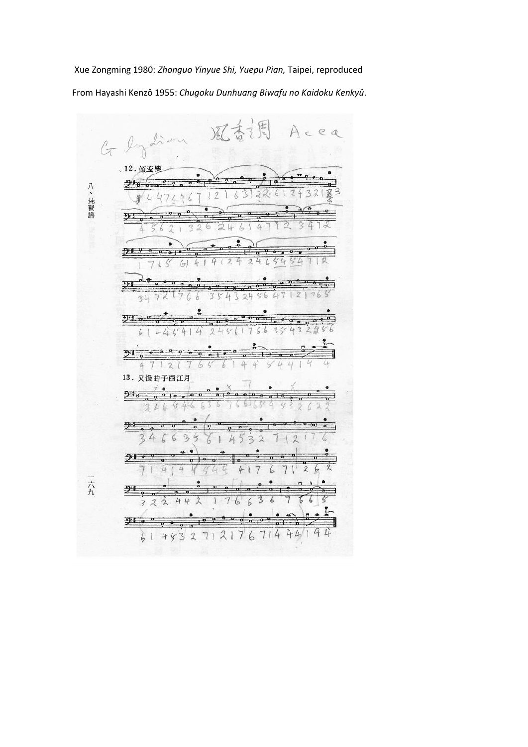Xue Zongming 1980: *Zhonguo Yinyue Shi, Yuepu Pian,* Taipei, reproduced From Hayashi Kenzô 1955: *Chugoku Dunhuang Biwafu no Kaidoku Kenkyû*.

e  $\mathcal{Q}$ G Indian 12. 傾盃樂  $714$  $\frac{a}{a}$ 八、琵琶譜  $22.6$ Z 4  $\sqrt{2}$  $\overline{2}$ 乎  $\overline{\mathbf{a}}$ 6  $\tilde{\phantom{a}}$ L ę 尹  $\mathfrak{2}$  $4$  $\omega$ i,  $\sqrt{ }$  $\Delta$  $\sqrt{2}$  $4$ P1  $\overline{a|_q}$  $^{\circ}$  0  $^{\circ}$ ╦  $\overline{\mathbf{a}}$  $\overline{\mathbf{a}}$  $74$  $\zeta$ 6  $\zeta$  $\mu$ 36  $\overline{0.01}$ 亚  $\overline{a}$ g  $\epsilon$  $\sqrt{a}$  $21 - e^{-6}$  $\mathbf{p}$ .  $\mathcal{L}_{l}$  $\overline{2}$ 13. 又慢曲子西江月  $\alpha$   $\alpha$  $\sigma$   $\sigma$   $\sigma$  $93 - 0$ 3 3  $\overline{2}$  $\mu$  $\overline{1}$  $910$  $\overline{\mathbf{a}}$  $\Delta$ 一六九  $\frac{5}{2}$  $\mathbf{u}$  $\overline{\mathbf{a}}$  $\overline{\mathbf{a}}$ o  $\mathbf{a}$  $\mathbf{u}$  $\frac{1}{2}$ 亏  $\lambda$  $\overline{6}$ 44 7  $\overline{6}$ 6 6  $\overline{\mathbf{z}}$  $210$ 'n. 0 a  $\overline{\sigma}$  $\overline{\sigma}$ o 614532712176714441 4  $\overline{\mu}$